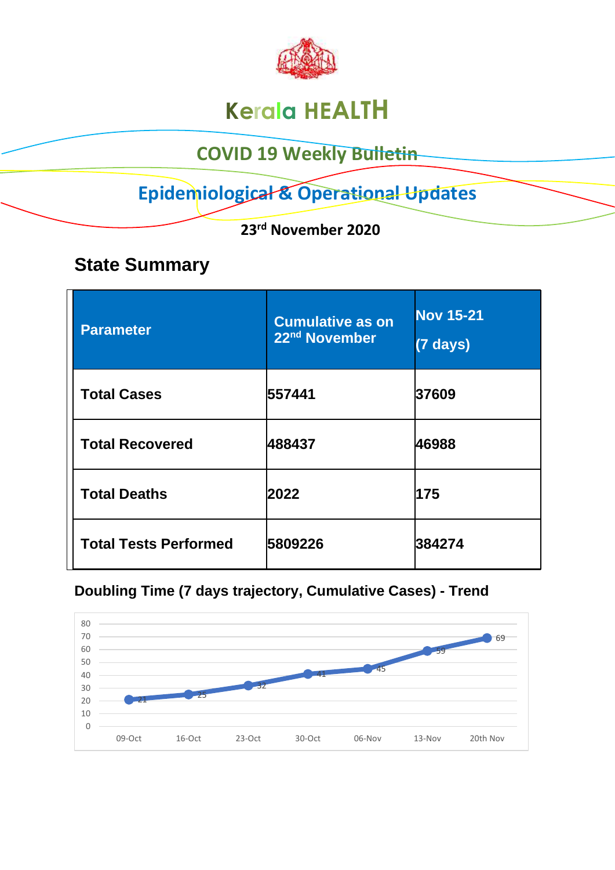

# **Kerala HEALTH**

## **COVID 19 Weekly Bulletin**

# **Epidemiological & Operational Updates**

 **23rd November 2020**

## **State Summary**

| <b>Parameter</b>             | <b>Cumulative as on</b><br>22nd November | <b>Nov 15-21</b><br>$(7)$ days) |
|------------------------------|------------------------------------------|---------------------------------|
| <b>Total Cases</b>           | 557441                                   | 37609                           |
| <b>Total Recovered</b>       | 488437                                   | 46988                           |
| <b>Total Deaths</b>          | 2022                                     | 175                             |
| <b>Total Tests Performed</b> | 5809226                                  | 384274                          |

#### **Doubling Time (7 days trajectory, Cumulative Cases) - Trend**

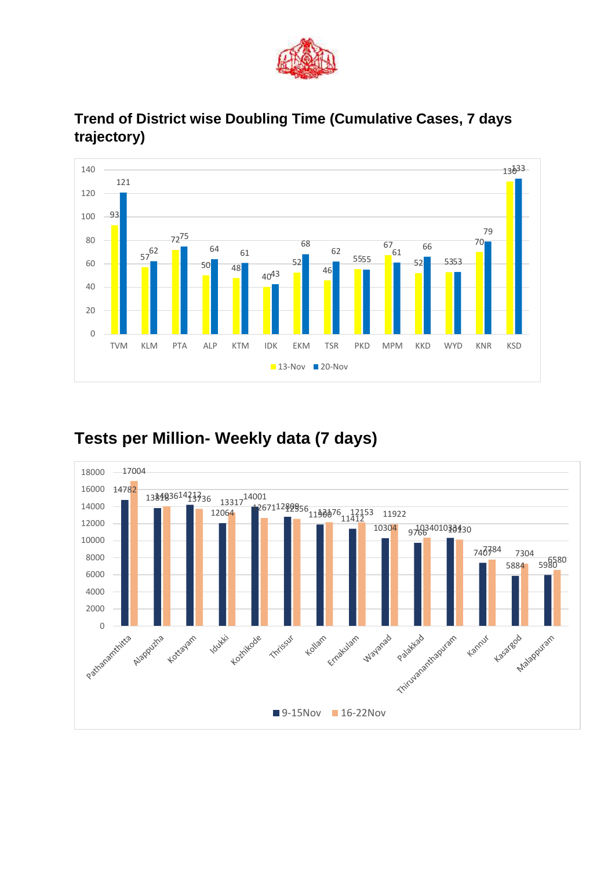



#### **Trend of District wise Doubling Time (Cumulative Cases, 7 days trajectory)**

### **Tests per Million- Weekly data (7 days)**

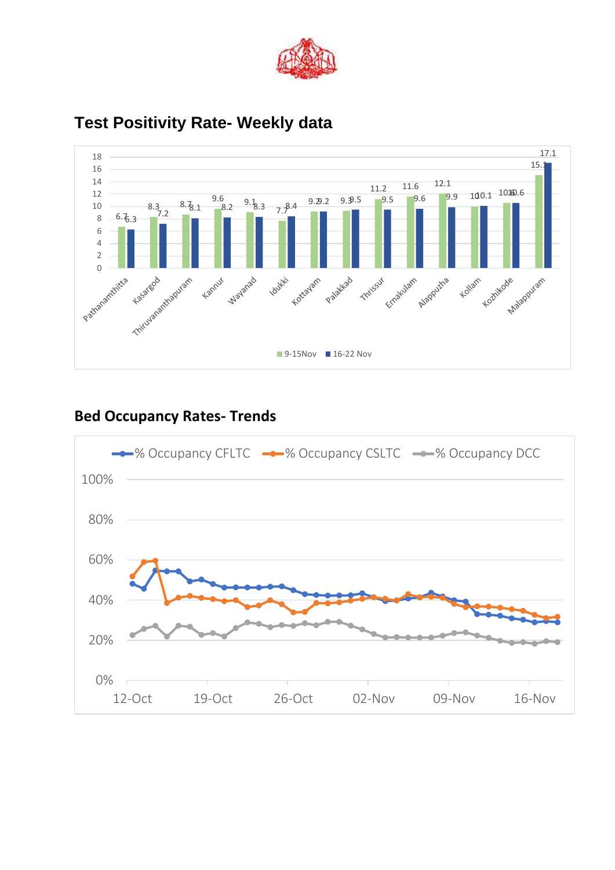



### **Test Positivity Rate- Weekly data**

#### **Bed Occupancy Rates- Trends**